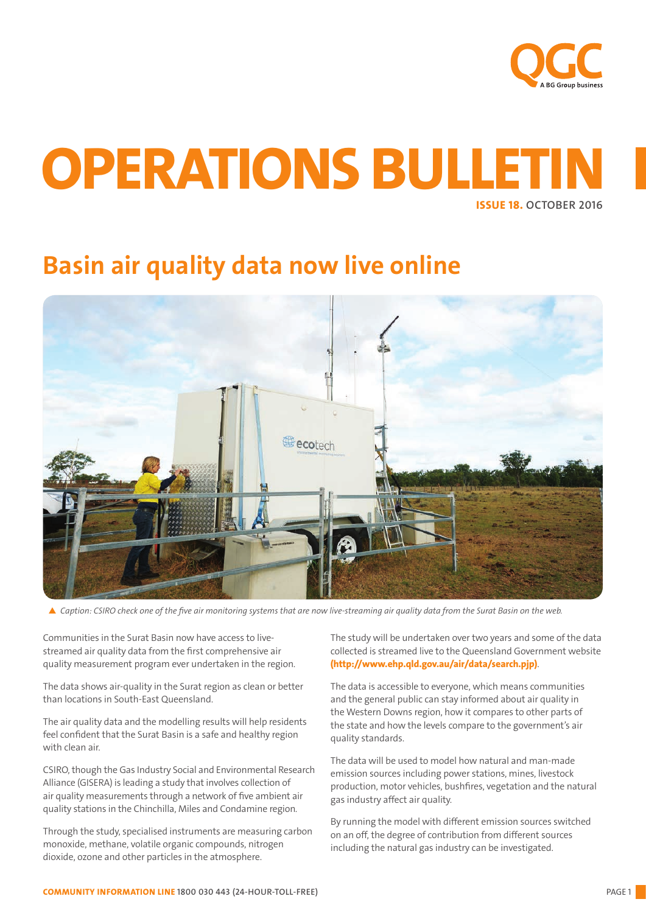

# ISSUE 18. OCTOBER 2016 OPERATIONS BULLET

# Basin air quality data now live online



▲ Caption: CSIRO check one of the five air monitoring systems that are now live-streaming air quality data from the Surat Basin on the web.

Communities in the Surat Basin now have access to livestreamed air quality data from the first comprehensive air quality measurement program ever undertaken in the region.

The data shows air-quality in the Surat region as clean or better than locations in South-East Queensland.

The air quality data and the modelling results will help residents feel confident that the Surat Basin is a safe and healthy region with clean air.

CSIRO, though the Gas Industry Social and Environmental Research Alliance (GISERA) is leading a study that involves collection of air quality measurements through a network of five ambient air quality stations in the Chinchilla, Miles and Condamine region.

Through the study, specialised instruments are measuring carbon monoxide, methane, volatile organic compounds, nitrogen dioxide, ozone and other particles in the atmosphere.

The study will be undertaken over two years and some of the data collected is streamed live to the Queensland Government website (http://www.ehp.qld.gov.au/air/data/search.pjp).

The data is accessible to everyone, which means communities and the general public can stay informed about air quality in the Western Downs region, how it compares to other parts of the state and how the levels compare to the government's air quality standards.

The data will be used to model how natural and man-made emission sources including power stations, mines, livestock production, motor vehicles, bushfires, vegetation and the natural gas industry affect air quality.

By running the model with different emission sources switched on an off, the degree of contribution from different sources including the natural gas industry can be investigated.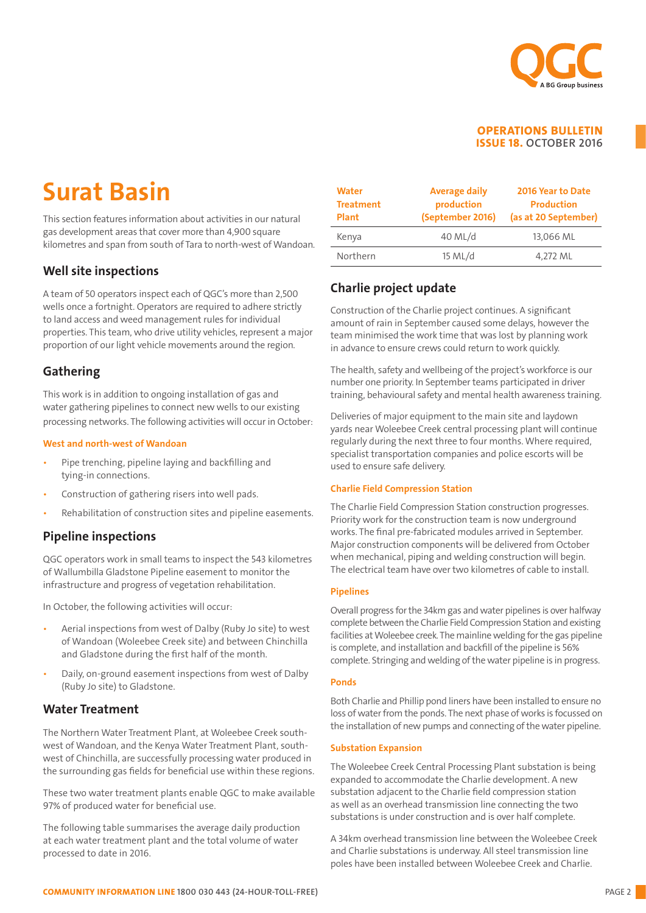

# Surat Basin

This section features information about activities in our natural gas development areas that cover more than 4,900 square kilometres and span from south of Tara to north-west of Wandoan.

## Well site inspections

A team of 50 operators inspect each of QGC's more than 2,500 wells once a fortnight. Operators are required to adhere strictly to land access and weed management rules for individual properties. This team, who drive utility vehicles, represent a major proportion of our light vehicle movements around the region.

## Gathering

This work is in addition to ongoing installation of gas and water gathering pipelines to connect new wells to our existing processing networks. The following activities will occur in October:

### West and north-west of Wandoan

- Pipe trenching, pipeline laying and backfilling and tying-in connections.
- Construction of gathering risers into well pads.
- Rehabilitation of construction sites and pipeline easements.

## Pipeline inspections

QGC operators work in small teams to inspect the 543 kilometres of Wallumbilla Gladstone Pipeline easement to monitor the infrastructure and progress of vegetation rehabilitation.

In October, the following activities will occur:

- Aerial inspections from west of Dalby (Ruby Jo site) to west of Wandoan (Woleebee Creek site) and between Chinchilla and Gladstone during the first half of the month.
- Daily, on-ground easement inspections from west of Dalby (Ruby Jo site) to Gladstone.

## Water Treatment

The Northern Water Treatment Plant, at Woleebee Creek southwest of Wandoan, and the Kenya Water Treatment Plant, southwest of Chinchilla, are successfully processing water produced in the surrounding gas fields for beneficial use within these regions.

These two water treatment plants enable QGC to make available 97% of produced water for beneficial use.

The following table summarises the average daily production at each water treatment plant and the total volume of water processed to date in 2016.

| <b>Water</b><br><b>Treatment</b><br><b>Plant</b> | <b>Average daily</b><br>production<br>(September 2016) | 2016 Year to Date<br><b>Production</b><br>(as at 20 September) |
|--------------------------------------------------|--------------------------------------------------------|----------------------------------------------------------------|
| Kenya                                            | 40 ML/d                                                | 13,066 ML                                                      |
| Northern                                         | 15 ML/d                                                | 4,272 ML                                                       |

## Charlie project update

Construction of the Charlie project continues. A significant amount of rain in September caused some delays, however the team minimised the work time that was lost by planning work in advance to ensure crews could return to work quickly.

The health, safety and wellbeing of the project's workforce is our number one priority. In September teams participated in driver training, behavioural safety and mental health awareness training.

Deliveries of major equipment to the main site and laydown yards near Woleebee Creek central processing plant will continue regularly during the next three to four months. Where required, specialist transportation companies and police escorts will be used to ensure safe delivery.

### Charlie Field Compression Station

The Charlie Field Compression Station construction progresses. Priority work for the construction team is now underground works. The final pre-fabricated modules arrived in September. Major construction components will be delivered from October when mechanical, piping and welding construction will begin. The electrical team have over two kilometres of cable to install.

### Pipelines

Overall progress for the 34km gas and water pipelines is over halfway complete between the Charlie Field Compression Station and existing facilities at Woleebee creek. The mainline welding for the gas pipeline is complete, and installation and backfill of the pipeline is 56% complete. Stringing and welding of the water pipeline is in progress.

### Ponds

Both Charlie and Phillip pond liners have been installed to ensure no loss of water from the ponds. The next phase of works is focussed on the installation of new pumps and connecting of the water pipeline.

### Substation Expansion

The Woleebee Creek Central Processing Plant substation is being expanded to accommodate the Charlie development. A new substation adjacent to the Charlie field compression station as well as an overhead transmission line connecting the two substations is under construction and is over half complete.

A 34km overhead transmission line between the Woleebee Creek and Charlie substations is underway. All steel transmission line poles have been installed between Woleebee Creek and Charlie.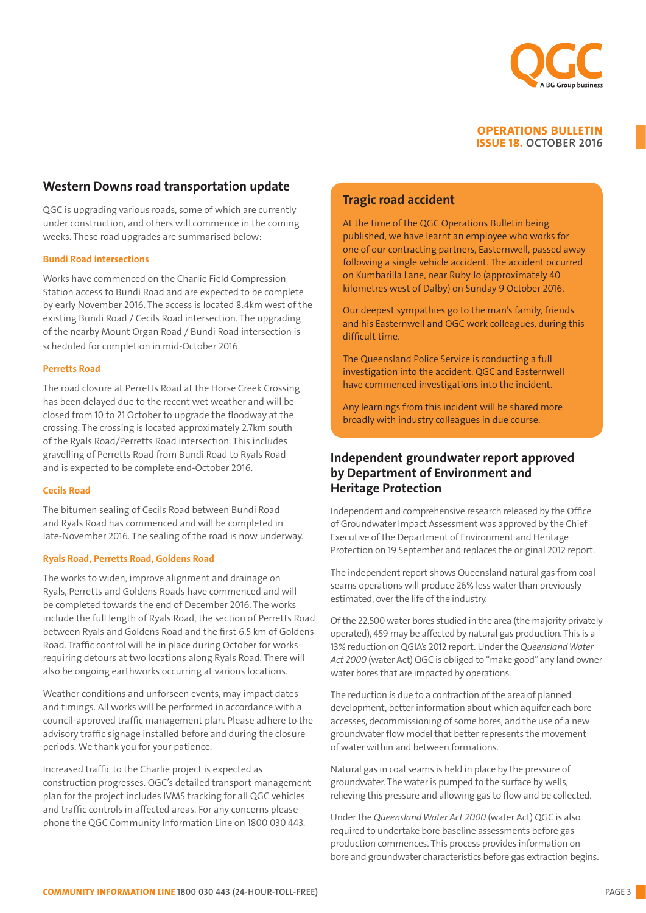

## Western Downs road transportation update

QGC is upgrading various roads, some of which are currently under construction, and others will commence in the coming weeks. These road upgrades are summarised below:

#### Bundi Road intersections

Works have commenced on the Charlie Field Compression Station access to Bundi Road and are expected to be complete by early November 2016. The access is located 8.4km west of the existing Bundi Road / Cecils Road intersection. The upgrading of the nearby Mount Organ Road / Bundi Road intersection is scheduled for completion in mid-October 2016.

#### Perretts Road

The road closure at Perretts Road at the Horse Creek Crossing has been delayed due to the recent wet weather and will be closed from 10 to 21 October to upgrade the floodway at the crossing. The crossing is located approximately 2.7km south of the Ryals Road/Perretts Road intersection. This includes gravelling of Perretts Road from Bundi Road to Ryals Road and is expected to be complete end-October 2016.

#### Cecils Road

The bitumen sealing of Cecils Road between Bundi Road and Ryals Road has commenced and will be completed in late-November 2016. The sealing of the road is now underway.

#### Ryals Road, Perretts Road, Goldens Road

The works to widen, improve alignment and drainage on Ryals, Perretts and Goldens Roads have commenced and will be completed towards the end of December 2016. The works include the full length of Ryals Road, the section of Perretts Road between Ryals and Goldens Road and the first 6.5 km of Goldens Road. Traffic control will be in place during October for works requiring detours at two locations along Ryals Road. There will also be ongoing earthworks occurring at various locations.

Weather conditions and unforseen events, may impact dates and timings. All works will be performed in accordance with a council-approved traffic management plan. Please adhere to the advisory traffic signage installed before and during the closure periods. We thank you for your patience.

Increased traffic to the Charlie project is expected as construction progresses. QGC's detailed transport management plan for the project includes IVMS tracking for all QGC vehicles and traffic controls in affected areas. For any concerns please phone the QGC Community Information Line on 1800 030 443.

## Tragic road accident

At the time of the QGC Operations Bulletin being published, we have learnt an employee who works for one of our contracting partners, Easternwell, passed away following a single vehicle accident. The accident occurred on Kumbarilla Lane, near Ruby Jo (approximately 40 kilometres west of Dalby) on Sunday 9 October 2016.

Our deepest sympathies go to the man's family, friends and his Easternwell and QGC work colleagues, during this difficult time.

The Queensland Police Service is conducting a full investigation into the accident. QGC and Easternwell have commenced investigations into the incident.

Any learnings from this incident will be shared more broadly with industry colleagues in due course.

## Independent groundwater report approved by Department of Environment and Heritage Protection

Independent and comprehensive research released by the Office of Groundwater Impact Assessment was approved by the Chief Executive of the Department of Environment and Heritage Protection on 19 September and replaces the original 2012 report.

The independent report shows Queensland natural gas from coal seams operations will produce 26% less water than previously estimated, over the life of the industry.

Of the 22,500 water bores studied in the area (the majority privately operated), 459 may be affected by natural gas production. This is a 13% reduction on QGIA's 2012 report. Under the *Queensland Water Act 2000* (water Act) QGC is obliged to "make good" any land owner water bores that are impacted by operations.

The reduction is due to a contraction of the area of planned development, better information about which aquifer each bore accesses, decommissioning of some bores, and the use of a new groundwater flow model that better represents the movement of water within and between formations.

Natural gas in coal seams is held in place by the pressure of groundwater. The water is pumped to the surface by wells, relieving this pressure and allowing gas to flow and be collected.

Under the *Queensland Water Act 2000* (water Act) QGC is also required to undertake bore baseline assessments before gas production commences. This process provides information on bore and groundwater characteristics before gas extraction begins.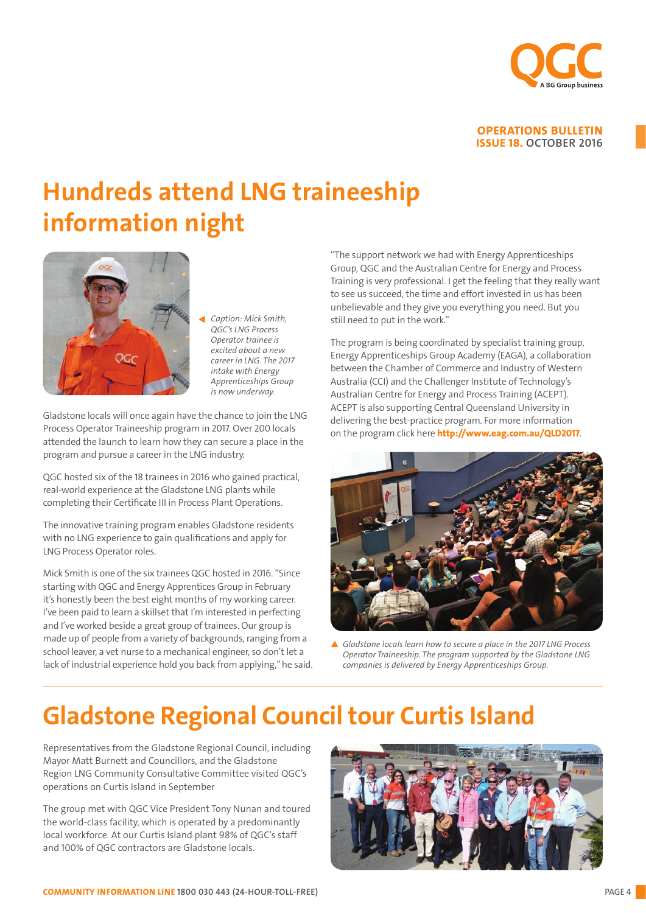

# Hundreds attend LNG traineeship information night



*Caption: Mick Smith, QGC's LNG Process Operator trainee is excited about a new career in LNG. The 2017 intake with Energy Apprenticeships Group is now underway.*

Gladstone locals will once again have the chance to join the LNG Process Operator Traineeship program in 2017. Over 200 locals attended the launch to learn how they can secure a place in the program and pursue a career in the LNG industry.

QGC hosted six of the 18 trainees in 2016 who gained practical, real-world experience at the Gladstone LNG plants while completing their Certificate III in Process Plant Operations.

The innovative training program enables Gladstone residents with no LNG experience to gain qualifications and apply for LNG Process Operator roles.

Mick Smith is one of the six trainees QGC hosted in 2016. "Since starting with QGC and Energy Apprentices Group in February it's honestly been the best eight months of my working career. I've been paid to learn a skillset that I'm interested in perfecting and I've worked beside a great group of trainees. Our group is made up of people from a variety of backgrounds, ranging from a school leaver, a vet nurse to a mechanical engineer, so don't let a lack of industrial experience hold you back from applying," he said.

"The support network we had with Energy Apprenticeships Group, QGC and the Australian Centre for Energy and Process Training is very professional. I get the feeling that they really want to see us succeed, the time and effort invested in us has been unbelievable and they give you everything you need. But you still need to put in the work."

The program is being coordinated by specialist training group, Energy Apprenticeships Group Academy (EAGA), a collaboration between the Chamber of Commerce and Industry of Western Australia (CCI) and the Challenger Institute of Technology's Australian Centre for Energy and Process Training (ACEPT). ACEPT is also supporting Central Queensland University in delivering the best-practice program. For more information on the program click here http://www.eag.com.au/QLD2017.



p *Gladstone locals learn how to secure a place in the 2017 LNG Process Operator Traineeship. The program supported by the Gladstone LNG companies is delivered by Energy Apprenticeships Group.*

# Gladstone Regional Council tour Curtis Island

Representatives from the Gladstone Regional Council, including Mayor Matt Burnett and Councillors, and the Gladstone Region LNG Community Consultative Committee visited QGC's operations on Curtis Island in September

The group met with QGC Vice President Tony Nunan and toured the world-class facility, which is operated by a predominantly local workforce. At our Curtis Island plant 98% of QGC's staff and 100% of QGC contractors are Gladstone locals.

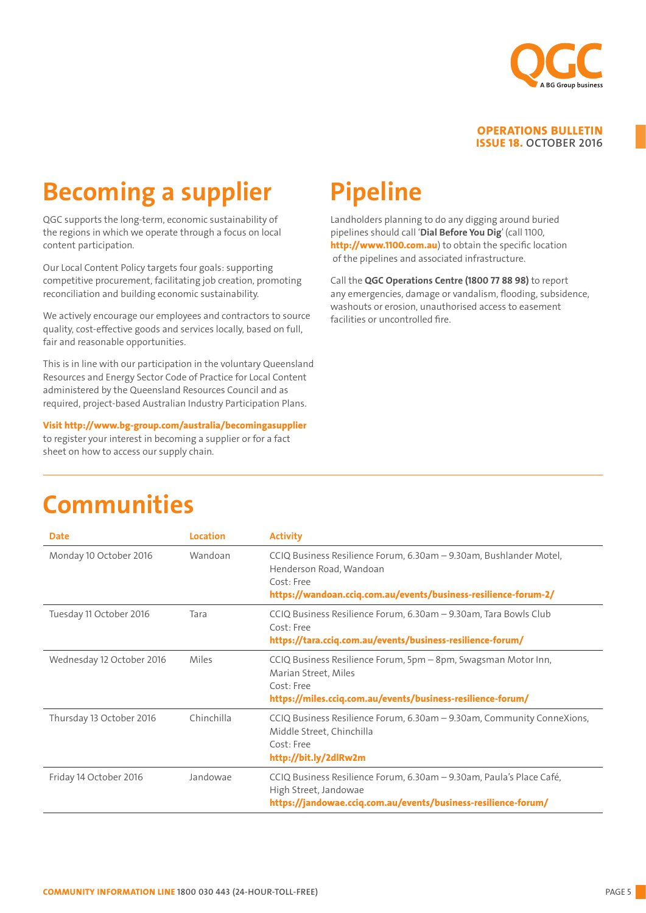

# Becoming a supplier

QGC supports the long-term, economic sustainability of the regions in which we operate through a focus on local content participation.

Our Local Content Policy targets four goals: supporting competitive procurement, facilitating job creation, promoting reconciliation and building economic sustainability.

We actively encourage our employees and contractors to source quality, cost-effective goods and services locally, based on full, fair and reasonable opportunities.

This is in line with our participation in the voluntary Queensland Resources and Energy Sector Code of Practice for Local Content administered by the Queensland Resources Council and as required, project-based Australian Industry Participation Plans.

Visit http://www.bg-group.com/australia/becomingasupplier to register your interest in becoming a supplier or for a fact sheet on how to access our supply chain.

# Pipeline

Landholders planning to do any digging around buried pipelines should call 'Dial Before You Dig' (call 1100, http://www.1100.com.au) to obtain the specific location of the pipelines and associated infrastructure.

Call the QGC Operations Centre (1800 77 88 98) to report any emergencies, damage or vandalism, flooding, subsidence, washouts or erosion, unauthorised access to easement facilities or uncontrolled fire.

|  |  | <b>Communities</b> |
|--|--|--------------------|
|  |  |                    |

| <b>Date</b>               | Location   | <b>Activity</b>                                                                                                                                                                |
|---------------------------|------------|--------------------------------------------------------------------------------------------------------------------------------------------------------------------------------|
| Monday 10 October 2016    | Wandoan    | CCIQ Business Resilience Forum, 6.30am - 9.30am, Bushlander Motel,<br>Henderson Road, Wandoan<br>Cost: Free<br>https://wandoan.cciq.com.au/events/business-resilience-forum-2/ |
| Tuesday 11 October 2016   | Tara       | CCIQ Business Resilience Forum, 6.30am - 9.30am, Tara Bowls Club<br>Cost: Free<br>https://tara.cciq.com.au/events/business-resilience-forum/                                   |
| Wednesday 12 October 2016 | Miles      | CCIQ Business Resilience Forum, 5pm - 8pm, Swagsman Motor Inn,<br>Marian Street, Miles<br>Cost: Free<br>https://miles.cciq.com.au/events/business-resilience-forum/            |
| Thursday 13 October 2016  | Chinchilla | CCIQ Business Resilience Forum, 6.30am - 9.30am, Community ConneXions,<br>Middle Street, Chinchilla<br>Cost: Free<br>http://bit.ly/2dlRw2m                                     |
| Friday 14 October 2016    | Jandowae   | CCIQ Business Resilience Forum, 6.30am – 9.30am, Paula's Place Café,<br>High Street, Jandowae<br>https://jandowae.cciq.com.au/events/business-resilience-forum/                |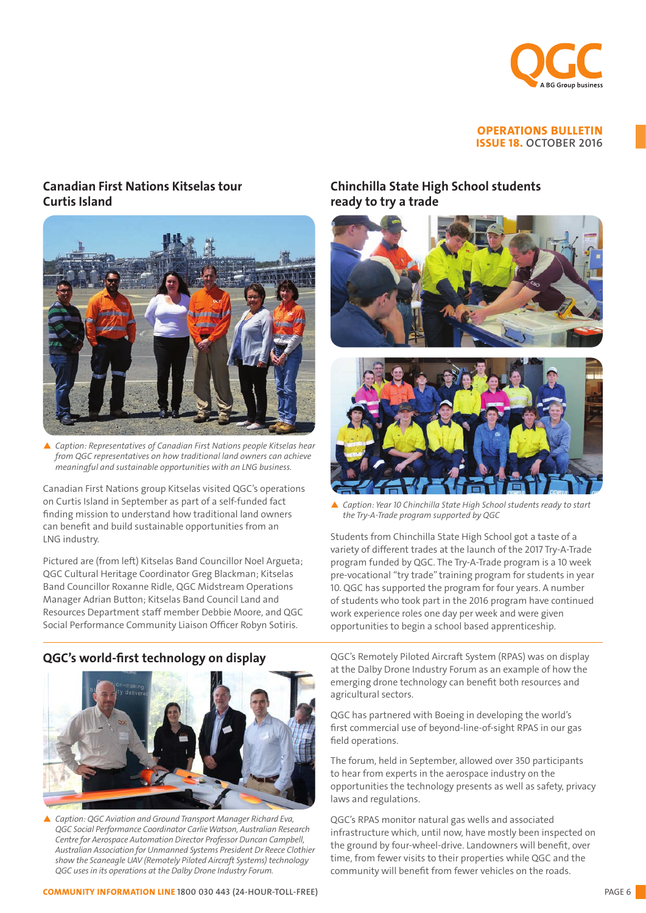

## Canadian First Nations Kitselas tour Curtis Island



▲ *Caption: Representatives of Canadian First Nations people Kitselas hear from QGC representatives on how traditional land owners can achieve meaningful and sustainable opportunities with an LNG business.*

Canadian First Nations group Kitselas visited QGC's operations on Curtis Island in September as part of a self-funded fact finding mission to understand how traditional land owners can benefit and build sustainable opportunities from an LNG industry.

Pictured are (from left) Kitselas Band Councillor Noel Argueta; QGC Cultural Heritage Coordinator Greg Blackman; Kitselas Band Councillor Roxanne Ridle, QGC Midstream Operations Manager Adrian Button; Kitselas Band Council Land and Resources Department staff member Debbie Moore, and QGC Social Performance Community Liaison Officer Robyn Sotiris.

## QGC's world-first technology on display



▲ *Caption: QGC Aviation and Ground Transport Manager Richard Eva, QGC Social Performance Coordinator Carlie Watson, Australian Research Centre for Aerospace Automation Director Professor Duncan Campbell, Australian Association for Unmanned Systems President Dr Reece Clothier show the Scaneagle UAV (Remotely Piloted Aircraft Systems) technology QGC uses in its operations at the Dalby Drone Industry Forum.* 

## Chinchilla State High School students ready to try a trade





▲ Caption: Year 10 Chinchilla State High School students ready to start *the Try-A-Trade program supported by QGC*

Students from Chinchilla State High School got a taste of a variety of different trades at the launch of the 2017 Try-A-Trade program funded by QGC. The Try-A-Trade program is a 10 week pre-vocational "try trade" training program for students in year 10. QGC has supported the program for four years. A number of students who took part in the 2016 program have continued work experience roles one day per week and were given opportunities to begin a school based apprenticeship.

QGC's Remotely Piloted Aircraft System (RPAS) was on display at the Dalby Drone Industry Forum as an example of how the emerging drone technology can benefit both resources and agricultural sectors.

QGC has partnered with Boeing in developing the world's first commercial use of beyond-line-of-sight RPAS in our gas field operations.

The forum, held in September, allowed over 350 participants to hear from experts in the aerospace industry on the opportunities the technology presents as well as safety, privacy laws and regulations.

QGC's RPAS monitor natural gas wells and associated infrastructure which, until now, have mostly been inspected on the ground by four-wheel-drive. Landowners will benefit, over time, from fewer visits to their properties while QGC and the community will benefit from fewer vehicles on the roads.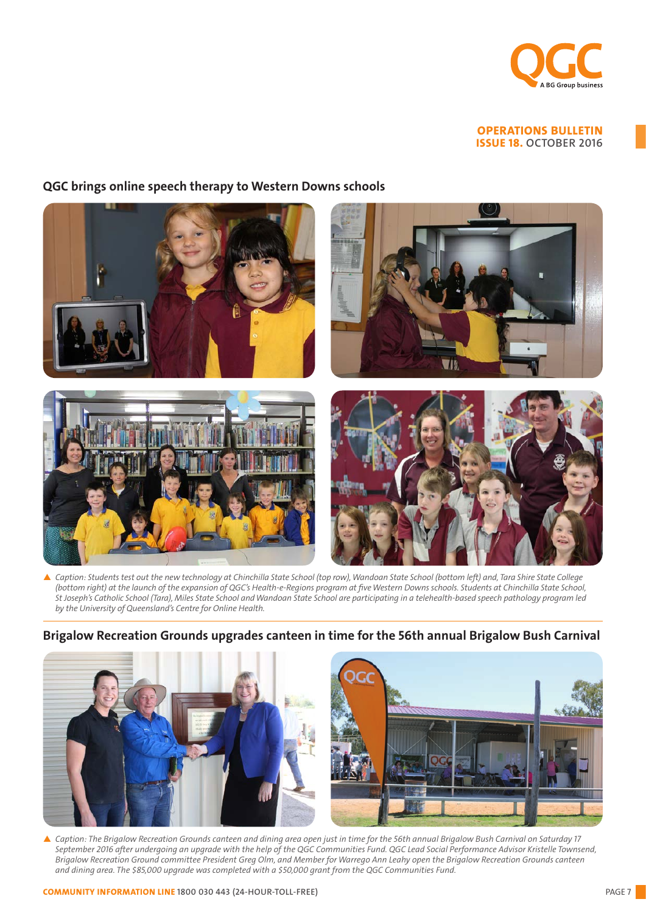

## QGC brings online speech therapy to Western Downs schools



p *Caption: Students test out the new technology at Chinchilla State School (top row), Wandoan State School (bottom left) and, Tara Shire State College (bottom right) at the launch of the expansion of QGC's Health-e-Regions program at five Western Downs schools. Students at Chinchilla State School, St Joseph's Catholic School (Tara), Miles State School and Wandoan State School are participating in a telehealth-based speech pathology program led by the University of Queensland's Centre for Online Health.*

## Brigalow Recreation Grounds upgrades canteen in time for the 56th annual Brigalow Bush Carnival



p *Caption: The Brigalow Recreation Grounds canteen and dining area open just in time for the 56th annual Brigalow Bush Carnival on Saturday 17 September 2016 after undergoing an upgrade with the help of the QGC Communities Fund. QGC Lead Social Performance Advisor Kristelle Townsend, Brigalow Recreation Ground committee President Greg Olm, and Member for Warrego Ann Leahy open the Brigalow Recreation Grounds canteen and dining area. The \$85,000 upgrade was completed with a \$50,000 grant from the QGC Communities Fund.*